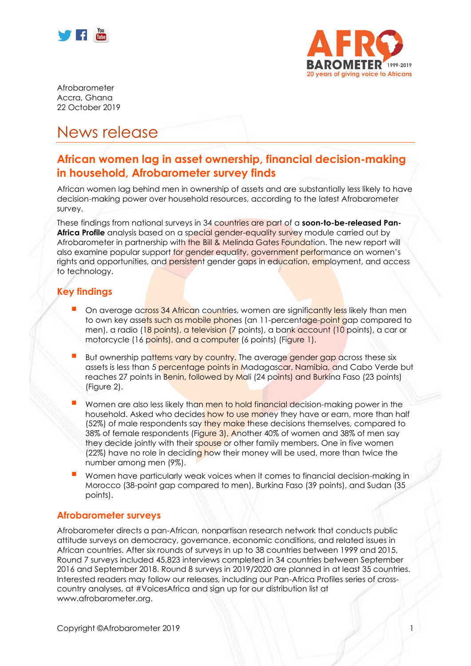



Afrobarometer Accra, Ghana 22 October 2019

# News release

# **African women lag in asset ownership, financial decision-making in household, Afrobarometer survey finds**

African women lag behind men in ownership of assets and are substantially less likely to have decision-making power over household resources, according to the latest Afrobarometer survey.

These findings from national surveys in 34 countries are part of a **soon-to-be-released Pan-Africa Profile** analysis based on a special gender-equality survey module carried out by Afrobarometer in partnership with the Bill & Melinda Gates Foundation. The new report will also examine popular support for gender equality, government performance on women's rights and opportunities, and persistent gender gaps in education, employment, and access to technology.

### **Key findings**

- On average across 34 African countries, women are significantly less likely than men to own key assets such as mobile phones (an 11-percentage-point gap compared to men), a radio (18 points), a television (7 points), a bank account (10 points), a car or motorcycle (16 points), and a computer (6 points) (Figure 1).
- But ownership patterns vary by country. The average gender gap across these six assets is less than 5 percentage points in Madagascar, Namibia, and Cabo Verde but reaches 27 points in Benin, followed by Mali (24 points) and Burkina Faso (23 points) (Figure 2).
- Women are also less likely than men to hold financial decision-making power in the household. Asked who decides how to use money they have or earn, more than half (52%) of male respondents say they make these decisions themselves, compared to 38% of female respondents (Figure 3), Another 40% of women and 38% of men say they decide jointly with their spouse or other family members. One in five women (22%) have no role in deciding how their money will be used, more than twice the number among men (9%).
- Women have particularly weak voices when it comes to financial decision-making in Morocco (38-point gap compared to men), Burkina Faso (39 points), and Sudan (35 points).

#### **Afrobarometer surveys**

Afrobarometer directs a pan-African, nonpartisan research network that conducts public attitude surveys on democracy, governance, economic conditions, and related issues in African countries. After six rounds of surveys in up to 38 countries between 1999 and 2015, Round 7 surveys included 45,823 interviews completed in 34 countries between September 2016 and September 2018. Round 8 surveys in 2019/2020 are planned in at least 35 countries. Interested readers may follow our releases, including our Pan-Africa Profiles series of crosscountry analyses, at #VoicesAfrica and sign up for our distribution list at www.afrobarometer.org.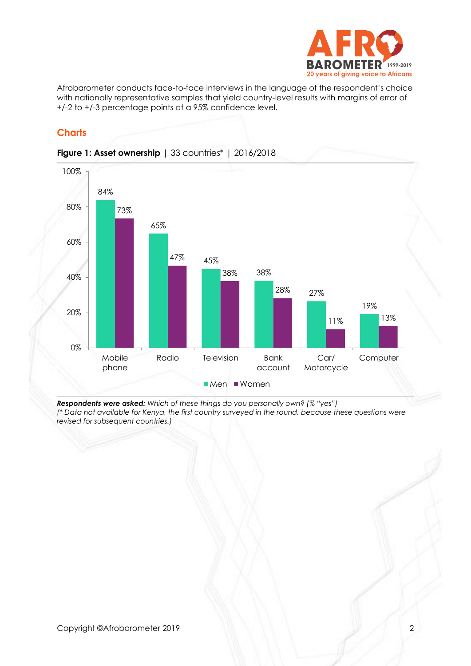

Afrobarometer conducts face-to-face interviews in the language of the respondent's choice with nationally representative samples that yield country-level results with margins of error of +/-2 to +/-3 percentage points at a 95% confidence level.

## **Charts**



#### **Figure 1: Asset ownership** | 33 countries\* | 2016/2018

*Respondents were asked: Which of these things do you personally own? (% "yes") (\* Data not available for Kenya, the first country surveyed in the round, because these questions were revised for subsequent countries.)*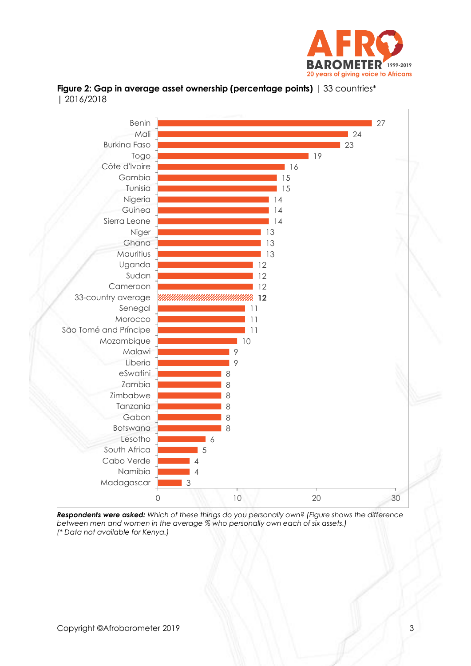





*Respondents were asked: Which of these things do you personally own? (Figure shows the difference between men and women in the average % who personally own each of six assets.) (\* Data not available for Kenya.)*